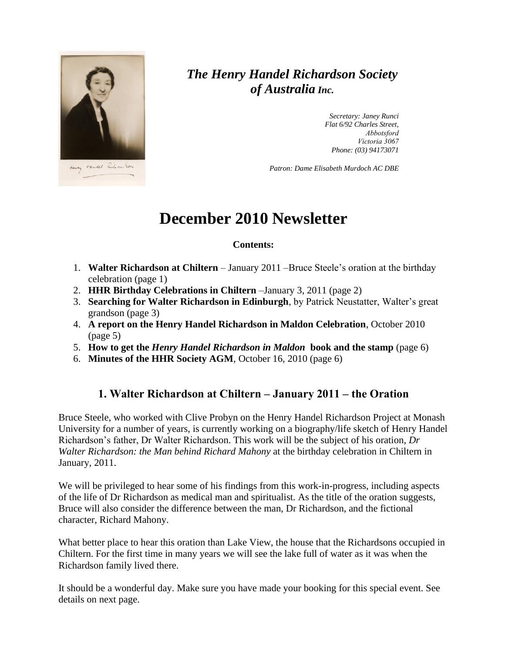

## *The Henry Handel Richardson Society of Australia Inc.*

*Secretary: Janey Runci Flat 6/92 Charles Street, Abbotsford Victoria 3067 Phone: (03) 94173071*

*Patron: Dame Elisabeth Murdoch AC DBE*

# **December 2010 Newsletter**

#### **Contents:**

- 1. **Walter Richardson at Chiltern** January 2011 –Bruce Steele's oration at the birthday celebration (page 1)
- 2. **HHR Birthday Celebrations in Chiltern** –January 3, 2011 (page 2)
- 3. **Searching for Walter Richardson in Edinburgh**, by Patrick Neustatter, Walter's great grandson (page 3)
- 4. **A report on the Henry Handel Richardson in Maldon Celebration**, October 2010 (page 5)
- 5. **How to get the** *Henry Handel Richardson in Maldon* **book and the stamp** (page 6)
- 6. **Minutes of the HHR Society AGM**, October 16, 2010 (page 6)

### **1. Walter Richardson at Chiltern – January 2011 – the Oration**

Bruce Steele, who worked with Clive Probyn on the Henry Handel Richardson Project at Monash University for a number of years, is currently working on a biography/life sketch of Henry Handel Richardson's father, Dr Walter Richardson. This work will be the subject of his oration, *Dr Walter Richardson: the Man behind Richard Mahony* at the birthday celebration in Chiltern in January, 2011.

We will be privileged to hear some of his findings from this work-in-progress, including aspects of the life of Dr Richardson as medical man and spiritualist. As the title of the oration suggests, Bruce will also consider the difference between the man, Dr Richardson, and the fictional character, Richard Mahony.

What better place to hear this oration than Lake View, the house that the Richardsons occupied in Chiltern. For the first time in many years we will see the lake full of water as it was when the Richardson family lived there.

It should be a wonderful day. Make sure you have made your booking for this special event. See details on next page.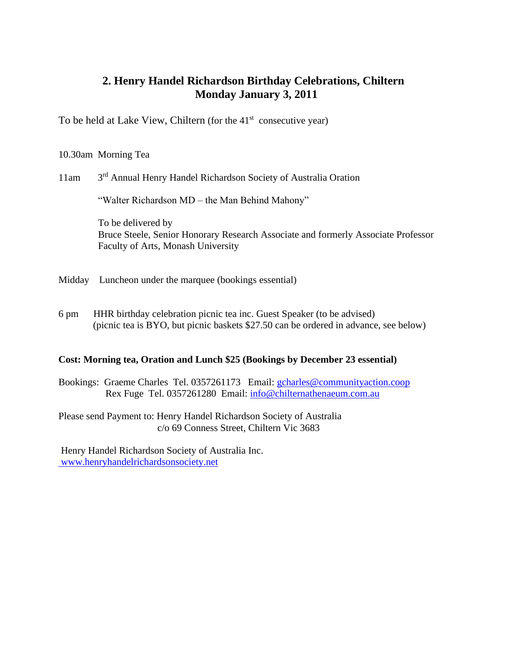### **2. Henry Handel Richardson Birthday Celebrations, Chiltern Monday January 3, 2011**

To be held at Lake View, Chiltern (for the 41<sup>st</sup> consecutive year)

10.30am Morning Tea

11am 3rd Annual Henry Handel Richardson Society of Australia Oration

"Walter Richardson MD – the Man Behind Mahony"

 To be delivered by Bruce Steele, Senior Honorary Research Associate and formerly Associate Professor Faculty of Arts, Monash University

Midday Luncheon under the marquee (bookings essential)

6 pm HHR birthday celebration picnic tea inc. Guest Speaker (to be advised) (picnic tea is BYO, but picnic baskets \$27.50 can be ordered in advance, see below)

#### **Cost: Morning tea, Oration and Lunch \$25 (Bookings by December 23 essential)**

Bookings: Graeme Charles Tel. 0357261173 Email: [gcharles@communityaction.coop](mailto:gcharles@communityaction.coop) Rex Fuge Tel. 0357261280 Email: [info@chilternathenaeum.com.au](mailto:info@chilternathenaeum.com.au)

Please send Payment to: Henry Handel Richardson Society of Australia c/o 69 Conness Street, Chiltern Vic 3683

Henry Handel Richardson Society of Australia Inc. [www.henryhandelrichardsonsociety.net](http://www.henryhandelrichardsonsociety.net/)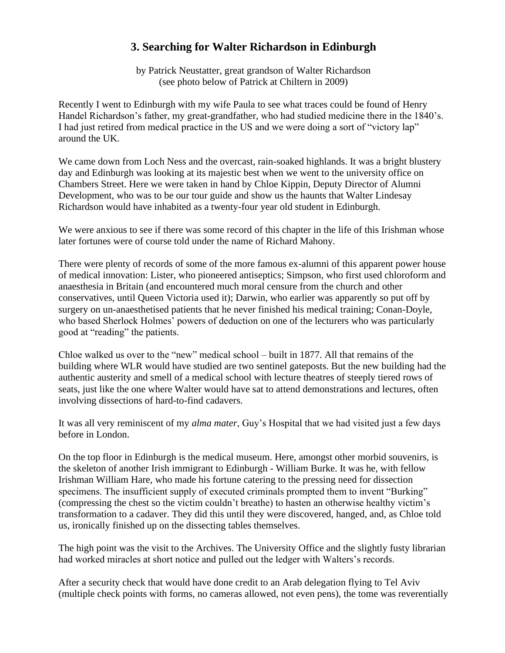### **3. Searching for Walter Richardson in Edinburgh**

by Patrick Neustatter, great grandson of Walter Richardson (see photo below of Patrick at Chiltern in 2009)

Recently I went to Edinburgh with my wife Paula to see what traces could be found of Henry Handel Richardson's father, my great-grandfather, who had studied medicine there in the 1840's. I had just retired from medical practice in the US and we were doing a sort of "victory lap" around the UK.

We came down from Loch Ness and the overcast, rain-soaked highlands. It was a bright blustery day and Edinburgh was looking at its majestic best when we went to the university office on Chambers Street. Here we were taken in hand by Chloe Kippin, Deputy Director of Alumni Development, who was to be our tour guide and show us the haunts that Walter Lindesay Richardson would have inhabited as a twenty-four year old student in Edinburgh.

We were anxious to see if there was some record of this chapter in the life of this Irishman whose later fortunes were of course told under the name of Richard Mahony.

There were plenty of records of some of the more famous ex-alumni of this apparent power house of medical innovation: Lister, who pioneered antiseptics; Simpson, who first used chloroform and anaesthesia in Britain (and encountered much moral censure from the church and other conservatives, until Queen Victoria used it); Darwin, who earlier was apparently so put off by surgery on un-anaesthetised patients that he never finished his medical training; Conan-Doyle, who based Sherlock Holmes' powers of deduction on one of the lecturers who was particularly good at "reading" the patients.

Chloe walked us over to the "new" medical school – built in 1877. All that remains of the building where WLR would have studied are two sentinel gateposts. But the new building had the authentic austerity and smell of a medical school with lecture theatres of steeply tiered rows of seats, just like the one where Walter would have sat to attend demonstrations and lectures, often involving dissections of hard-to-find cadavers.

It was all very reminiscent of my *alma mater*, Guy's Hospital that we had visited just a few days before in London.

On the top floor in Edinburgh is the medical museum. Here, amongst other morbid souvenirs, is the skeleton of another Irish immigrant to Edinburgh - William Burke. It was he, with fellow Irishman William Hare, who made his fortune catering to the pressing need for dissection specimens. The insufficient supply of executed criminals prompted them to invent "Burking" (compressing the chest so the victim couldn't breathe) to hasten an otherwise healthy victim's transformation to a cadaver. They did this until they were discovered, hanged, and, as Chloe told us, ironically finished up on the dissecting tables themselves.

The high point was the visit to the Archives. The University Office and the slightly fusty librarian had worked miracles at short notice and pulled out the ledger with Walters's records.

After a security check that would have done credit to an Arab delegation flying to Tel Aviv (multiple check points with forms, no cameras allowed, not even pens), the tome was reverentially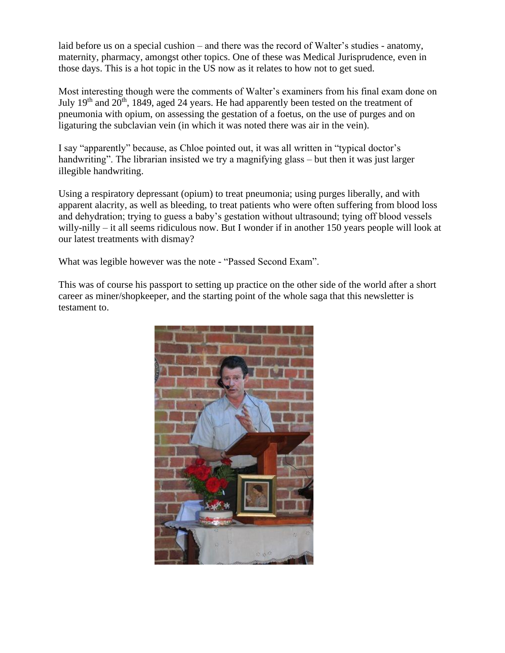laid before us on a special cushion – and there was the record of Walter's studies - anatomy, maternity, pharmacy, amongst other topics. One of these was Medical Jurisprudence, even in those days. This is a hot topic in the US now as it relates to how not to get sued.

Most interesting though were the comments of Walter's examiners from his final exam done on July 19<sup>th</sup> and 20<sup>th</sup>, 1849, aged 24 years. He had apparently been tested on the treatment of pneumonia with opium, on assessing the gestation of a foetus, on the use of purges and on ligaturing the subclavian vein (in which it was noted there was air in the vein).

I say "apparently" because, as Chloe pointed out, it was all written in "typical doctor's handwriting". The librarian insisted we try a magnifying glass – but then it was just larger illegible handwriting.

Using a respiratory depressant (opium) to treat pneumonia; using purges liberally, and with apparent alacrity, as well as bleeding, to treat patients who were often suffering from blood loss and dehydration; trying to guess a baby's gestation without ultrasound; tying off blood vessels willy-nilly – it all seems ridiculous now. But I wonder if in another 150 years people will look at our latest treatments with dismay?

What was legible however was the note - "Passed Second Exam".

This was of course his passport to setting up practice on the other side of the world after a short career as miner/shopkeeper, and the starting point of the whole saga that this newsletter is testament to.

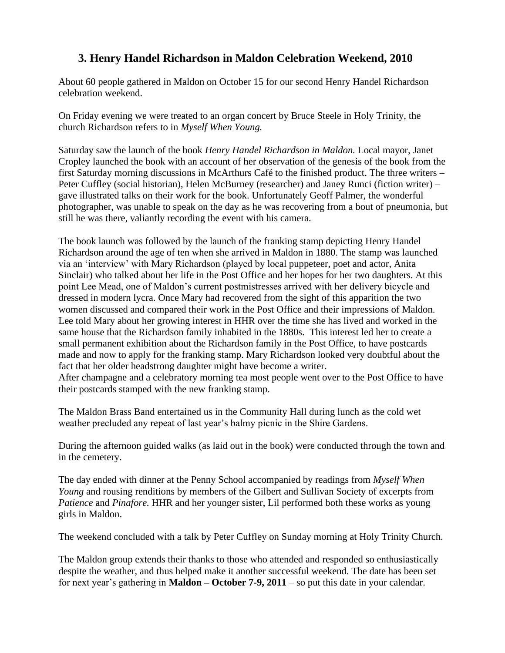## **3. Henry Handel Richardson in Maldon Celebration Weekend, 2010**

About 60 people gathered in Maldon on October 15 for our second Henry Handel Richardson celebration weekend.

On Friday evening we were treated to an organ concert by Bruce Steele in Holy Trinity, the church Richardson refers to in *Myself When Young.*

Saturday saw the launch of the book *Henry Handel Richardson in Maldon.* Local mayor, Janet Cropley launched the book with an account of her observation of the genesis of the book from the first Saturday morning discussions in McArthurs Café to the finished product. The three writers – Peter Cuffley (social historian), Helen McBurney (researcher) and Janey Runci (fiction writer) – gave illustrated talks on their work for the book. Unfortunately Geoff Palmer, the wonderful photographer, was unable to speak on the day as he was recovering from a bout of pneumonia, but still he was there, valiantly recording the event with his camera.

The book launch was followed by the launch of the franking stamp depicting Henry Handel Richardson around the age of ten when she arrived in Maldon in 1880. The stamp was launched via an 'interview' with Mary Richardson (played by local puppeteer, poet and actor, Anita Sinclair) who talked about her life in the Post Office and her hopes for her two daughters. At this point Lee Mead, one of Maldon's current postmistresses arrived with her delivery bicycle and dressed in modern lycra. Once Mary had recovered from the sight of this apparition the two women discussed and compared their work in the Post Office and their impressions of Maldon. Lee told Mary about her growing interest in HHR over the time she has lived and worked in the same house that the Richardson family inhabited in the 1880s. This interest led her to create a small permanent exhibition about the Richardson family in the Post Office, to have postcards made and now to apply for the franking stamp. Mary Richardson looked very doubtful about the fact that her older headstrong daughter might have become a writer. After champagne and a celebratory morning tea most people went over to the Post Office to have their postcards stamped with the new franking stamp.

The Maldon Brass Band entertained us in the Community Hall during lunch as the cold wet weather precluded any repeat of last year's balmy picnic in the Shire Gardens.

During the afternoon guided walks (as laid out in the book) were conducted through the town and in the cemetery.

The day ended with dinner at the Penny School accompanied by readings from *Myself When Young* and rousing renditions by members of the Gilbert and Sullivan Society of excerpts from *Patience* and *Pinafore.* HHR and her younger sister, Lil performed both these works as young girls in Maldon.

The weekend concluded with a talk by Peter Cuffley on Sunday morning at Holy Trinity Church.

The Maldon group extends their thanks to those who attended and responded so enthusiastically despite the weather, and thus helped make it another successful weekend. The date has been set for next year's gathering in **Maldon – October 7-9, 2011** – so put this date in your calendar.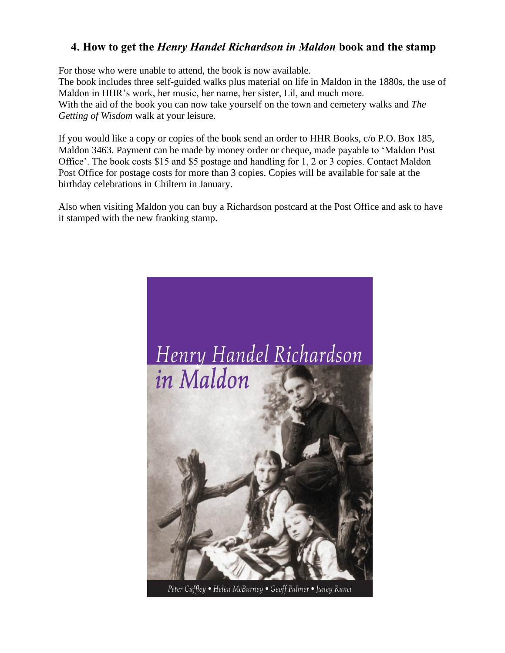### **4. How to get the** *Henry Handel Richardson in Maldon* **book and the stamp**

For those who were unable to attend, the book is now available.

The book includes three self-guided walks plus material on life in Maldon in the 1880s, the use of Maldon in HHR's work, her music, her name, her sister, Lil, and much more. With the aid of the book you can now take yourself on the town and cemetery walks and *The Getting of Wisdom* walk at your leisure.

If you would like a copy or copies of the book send an order to HHR Books, c/o P.O. Box 185, Maldon 3463. Payment can be made by money order or cheque, made payable to 'Maldon Post Office'. The book costs \$15 and \$5 postage and handling for 1, 2 or 3 copies. Contact Maldon Post Office for postage costs for more than 3 copies. Copies will be available for sale at the birthday celebrations in Chiltern in January.

Also when visiting Maldon you can buy a Richardson postcard at the Post Office and ask to have it stamped with the new franking stamp.



Peter Cuffley • Helen McBurney • Geoff Palmer • Janey Runci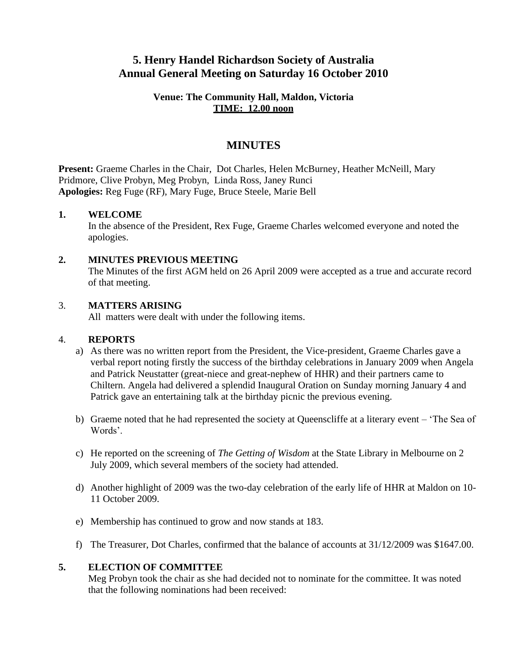### **5. Henry Handel Richardson Society of Australia Annual General Meeting on Saturday 16 October 2010**

#### **Venue: The Community Hall, Maldon, Victoria TIME: 12.00 noon**

### **MINUTES**

**Present:** Graeme Charles in the Chair, Dot Charles, Helen McBurney, Heather McNeill, Mary Pridmore, Clive Probyn, Meg Probyn, Linda Ross, Janey Runci **Apologies:** Reg Fuge (RF), Mary Fuge, Bruce Steele, Marie Bell

### **1. WELCOME**

In the absence of the President, Rex Fuge, Graeme Charles welcomed everyone and noted the apologies.

#### **2. MINUTES PREVIOUS MEETING**

The Minutes of the first AGM held on 26 April 2009 were accepted as a true and accurate record of that meeting.

#### 3. **MATTERS ARISING**

All matters were dealt with under the following items.

#### 4. **REPORTS**

- a) As there was no written report from the President, the Vice-president, Graeme Charles gave a verbal report noting firstly the success of the birthday celebrations in January 2009 when Angela and Patrick Neustatter (great-niece and great-nephew of HHR) and their partners came to Chiltern. Angela had delivered a splendid Inaugural Oration on Sunday morning January 4 and Patrick gave an entertaining talk at the birthday picnic the previous evening.
- b) Graeme noted that he had represented the society at Queenscliffe at a literary event 'The Sea of Words'.
- c) He reported on the screening of *The Getting of Wisdom* at the State Library in Melbourne on 2 July 2009, which several members of the society had attended.
- d) Another highlight of 2009 was the two-day celebration of the early life of HHR at Maldon on 10- 11 October 2009.
- e) Membership has continued to grow and now stands at 183.
- f) The Treasurer, Dot Charles, confirmed that the balance of accounts at 31/12/2009 was \$1647.00.

#### **5. ELECTION OF COMMITTEE**

Meg Probyn took the chair as she had decided not to nominate for the committee. It was noted that the following nominations had been received: